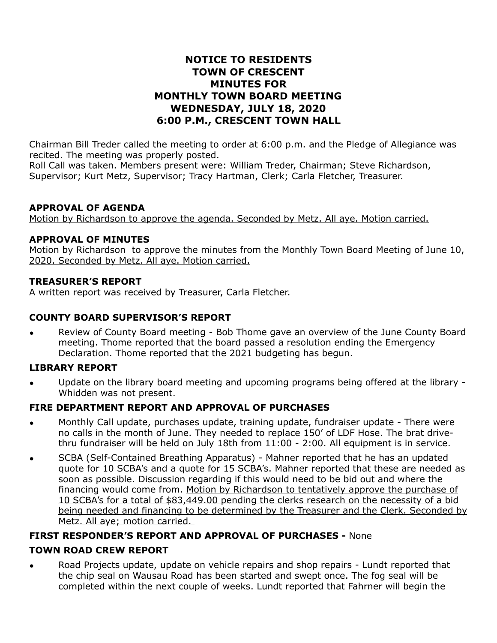# **NOTICE TO RESIDENTS TOWN OF CRESCENT MINUTES FOR MONTHLY TOWN BOARD MEETING WEDNESDAY, JULY 18, 2020 6:00 P.M., CRESCENT TOWN HALL**

Chairman Bill Treder called the meeting to order at 6:00 p.m. and the Pledge of Allegiance was recited. The meeting was properly posted.

Roll Call was taken. Members present were: William Treder, Chairman; Steve Richardson, Supervisor; Kurt Metz, Supervisor; Tracy Hartman, Clerk; Carla Fletcher, Treasurer.

### **APPROVAL OF AGENDA**

Motion by Richardson to approve the agenda. Seconded by Metz. All aye. Motion carried.

### **APPROVAL OF MINUTES**

Motion by Richardson to approve the minutes from the Monthly Town Board Meeting of June 10, 2020. Seconded by Metz. All aye. Motion carried.

#### **TREASURER'S REPORT**

A written report was received by Treasurer, Carla Fletcher.

### **COUNTY BOARD SUPERVISOR'S REPORT**

• Review of County Board meeting - Bob Thome gave an overview of the June County Board meeting. Thome reported that the board passed a resolution ending the Emergency Declaration. Thome reported that the 2021 budgeting has begun.

#### **LIBRARY REPORT**

• Update on the library board meeting and upcoming programs being offered at the library - Whidden was not present.

# **FIRE DEPARTMENT REPORT AND APPROVAL OF PURCHASES**

- Monthly Call update, purchases update, training update, fundraiser update There were no calls in the month of June. They needed to replace 150' of LDF Hose. The brat drivethru fundraiser will be held on July 18th from 11:00 - 2:00. All equipment is in service.
- SCBA (Self-Contained Breathing Apparatus) Mahner reported that he has an updated quote for 10 SCBA's and a quote for 15 SCBA's. Mahner reported that these are needed as soon as possible. Discussion regarding if this would need to be bid out and where the financing would come from. Motion by Richardson to tentatively approve the purchase of 10 SCBA's for a total of \$83,449.00 pending the clerks research on the necessity of a bid being needed and financing to be determined by the Treasurer and the Clerk. Seconded by Metz. All aye; motion carried.

# **FIRST RESPONDER'S REPORT AND APPROVAL OF PURCHASES -** None

# **TOWN ROAD CREW REPORT**

• Road Projects update, update on vehicle repairs and shop repairs - Lundt reported that the chip seal on Wausau Road has been started and swept once. The fog seal will be completed within the next couple of weeks. Lundt reported that Fahrner will begin the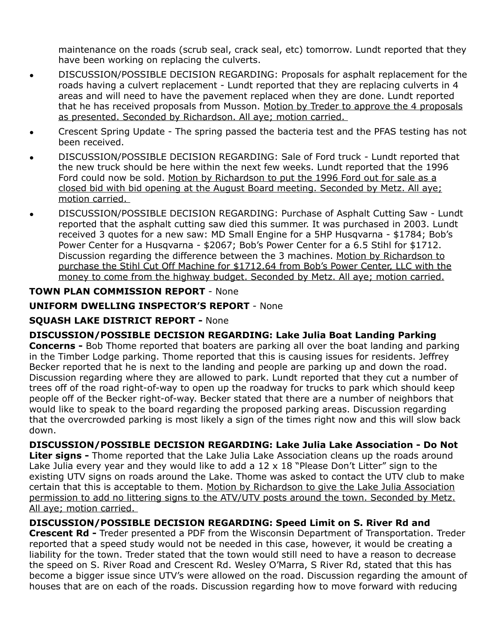maintenance on the roads (scrub seal, crack seal, etc) tomorrow. Lundt reported that they have been working on replacing the culverts.

- DISCUSSION/POSSIBLE DECISION REGARDING: Proposals for asphalt replacement for the roads having a culvert replacement - Lundt reported that they are replacing culverts in 4 areas and will need to have the pavement replaced when they are done. Lundt reported that he has received proposals from Musson. Motion by Treder to approve the 4 proposals as presented. Seconded by Richardson. All aye; motion carried.
- Crescent Spring Update The spring passed the bacteria test and the PFAS testing has not been received.
- DISCUSSION/POSSIBLE DECISION REGARDING: Sale of Ford truck Lundt reported that the new truck should be here within the next few weeks. Lundt reported that the 1996 Ford could now be sold. Motion by Richardson to put the 1996 Ford out for sale as a closed bid with bid opening at the August Board meeting. Seconded by Metz. All aye; motion carried.
- DISCUSSION/POSSIBLE DECISION REGARDING: Purchase of Asphalt Cutting Saw Lundt reported that the asphalt cutting saw died this summer. It was purchased in 2003. Lundt received 3 quotes for a new saw: MD Small Engine for a 5HP Husqvarna - \$1784; Bob's Power Center for a Husqvarna - \$2067; Bob's Power Center for a 6.5 Stihl for \$1712. Discussion regarding the difference between the 3 machines. Motion by Richardson to purchase the Stihl Cut Off Machine for \$1712.64 from Bob's Power Center, LLC with the money to come from the highway budget. Seconded by Metz. All aye; motion carried.

# **TOWN PLAN COMMISSION REPORT** - None

# **UNIFORM DWELLING INSPECTOR'S REPORT** - None

### **SQUASH LAKE DISTRICT REPORT -** None

**DISCUSSION/POSSIBLE DECISION REGARDING: Lake Julia Boat Landing Parking Concerns -** Bob Thome reported that boaters are parking all over the boat landing and parking in the Timber Lodge parking. Thome reported that this is causing issues for residents. Jeffrey Becker reported that he is next to the landing and people are parking up and down the road. Discussion regarding where they are allowed to park. Lundt reported that they cut a number of trees off of the road right-of-way to open up the roadway for trucks to park which should keep people off of the Becker right-of-way. Becker stated that there are a number of neighbors that would like to speak to the board regarding the proposed parking areas. Discussion regarding that the overcrowded parking is most likely a sign of the times right now and this will slow back down.

**DISCUSSION/POSSIBLE DECISION REGARDING: Lake Julia Lake Association - Do Not Liter signs -** Thome reported that the Lake Julia Lake Association cleans up the roads around Lake Julia every year and they would like to add a  $12 \times 18$  "Please Don't Litter" sign to the existing UTV signs on roads around the Lake. Thome was asked to contact the UTV club to make certain that this is acceptable to them. Motion by Richardson to give the Lake Julia Association permission to add no littering signs to the ATV/UTV posts around the town. Seconded by Metz. All aye; motion carried.

**DISCUSSION/POSSIBLE DECISION REGARDING: Speed Limit on S. River Rd and Crescent Rd -** Treder presented a PDF from the Wisconsin Department of Transportation. Treder reported that a speed study would not be needed in this case, however, it would be creating a liability for the town. Treder stated that the town would still need to have a reason to decrease the speed on S. River Road and Crescent Rd. Wesley O'Marra, S River Rd, stated that this has become a bigger issue since UTV's were allowed on the road. Discussion regarding the amount of houses that are on each of the roads. Discussion regarding how to move forward with reducing